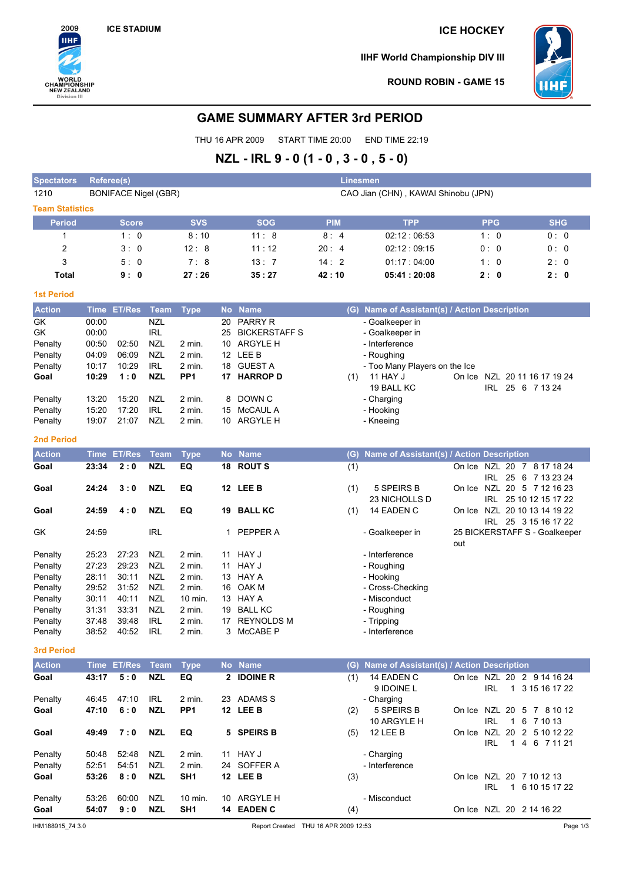

**IIHF World Championship DIV III**



**ROUND ROBIN - GAME 15**

## **GAME SUMMARY AFTER 3rd PERIOD**

THU 16 APR 2009 START TIME 20:00 END TIME 22:19

## **NZL - IRL 9 - 0 (1 - 0 , 3 - 0 , 5 - 0)**

| <b>Spectators</b>      |             | <b>Referee(s)</b><br><b>Linesmen</b> |             |                 |                 |                      |            |                                           |     |                              |                               |
|------------------------|-------------|--------------------------------------|-------------|-----------------|-----------------|----------------------|------------|-------------------------------------------|-----|------------------------------|-------------------------------|
| 1210                   |             | <b>BONIFACE Nigel (GBR)</b>          |             |                 |                 |                      |            | CAO Jian (CHN), KAWAI Shinobu (JPN)       |     |                              |                               |
| <b>Team Statistics</b> |             |                                      |             |                 |                 |                      |            |                                           |     |                              |                               |
| <b>Period</b>          |             | <b>Score</b>                         |             | <b>SVS</b>      |                 | <b>SOG</b>           | <b>PIM</b> | <b>TPP</b>                                |     | <b>PPG</b>                   | <b>SHG</b>                    |
| 1                      |             | 1:0                                  |             | 8:10            |                 | 11:8                 | 8:4        | 02:12:06:53                               |     | 1:0                          | 0:0                           |
| 2                      |             | 3:0                                  |             | 12:8            |                 | 11:12                | 20:4       | 02:12:09:15                               |     | 0:0                          | 0:0                           |
| 3                      |             | 5:0                                  |             | 7:8             |                 | 13:7                 | 14:2       | 01:17:04:00                               |     | 1:0                          | 2:0                           |
| <b>Total</b>           |             | 9:0                                  |             | 27:26           |                 | 35:27                | 42:10      | 05:41:20:08                               |     | 2:0                          | 2:0                           |
| <b>1st Period</b>      |             |                                      |             |                 |                 |                      |            |                                           |     |                              |                               |
| <b>Action</b>          | <b>Time</b> | <b>ET/Res</b>                        | Team        | <b>Type</b>     |                 | No Name              | (G)        | Name of Assistant(s) / Action Description |     |                              |                               |
| <b>GK</b>              | 00:00       |                                      | <b>NZL</b>  |                 | 20              | <b>PARRY R</b>       |            | - Goalkeeper in                           |     |                              |                               |
| <b>GK</b>              | 00:00       |                                      | <b>IRL</b>  |                 | 25              | <b>BICKERSTAFF S</b> |            | - Goalkeeper in                           |     |                              |                               |
| Penalty                | 00:50       | 02:50                                | <b>NZL</b>  | $2$ min.        | 10 <sup>1</sup> | <b>ARGYLE H</b>      |            | - Interference                            |     |                              |                               |
| Penalty                | 04:09       | 06:09                                | <b>NZL</b>  | $2$ min.        |                 | 12 LEE B             |            | - Roughing                                |     |                              |                               |
| Penalty                | 10:17       | 10:29                                | <b>IRL</b>  | 2 min.          | 18              | <b>GUEST A</b>       |            | - Too Many Players on the Ice             |     |                              |                               |
| Goal                   | 10:29       | 1:0                                  | <b>NZL</b>  | PP <sub>1</sub> | 17              | <b>HARROP D</b>      | (1)        | <b>11 HAY J</b>                           |     | On Ice NZL 20 11 16 17 19 24 |                               |
|                        |             |                                      |             |                 |                 |                      |            | 19 BALL KC                                |     | IRL 25 6 7 13 24             |                               |
| Penalty                | 13:20       | 15:20                                | <b>NZL</b>  | $2$ min.        | 8               | DOWN C               |            | - Charging                                |     |                              |                               |
| Penalty                | 15:20       | 17:20                                | <b>IRL</b>  | 2 min.          | 15              | <b>McCAUL A</b>      |            | - Hooking                                 |     |                              |                               |
| Penalty                | 19:07       | 21:07                                | <b>NZL</b>  | 2 min.          | 10              | <b>ARGYLE H</b>      |            | - Kneeing                                 |     |                              |                               |
| <b>2nd Period</b>      |             |                                      |             |                 |                 |                      |            |                                           |     |                              |                               |
| <b>Action</b>          | <b>Time</b> | <b>ET/Res</b>                        | <b>Team</b> | <b>Type</b>     |                 | No Name              | (G)        | Name of Assistant(s) / Action Description |     |                              |                               |
| Goal                   | 23:34       | 2:0                                  | <b>NZL</b>  | EQ              |                 | 18 ROUTS             | (1)        |                                           |     | On Ice NZL 20 7 8 17 18 24   |                               |
|                        |             |                                      |             |                 |                 |                      |            |                                           |     | IRL 25 6 7 13 23 24          |                               |
| Goal                   | 24:24       | 3:0                                  | <b>NZL</b>  | EQ              |                 | 12 LEE B             | (1)        | 5 SPEIRS B                                |     | On Ice NZL 20 5 7 12 16 23   |                               |
|                        |             |                                      |             |                 |                 |                      |            | 23 NICHOLLS D                             |     | IRL 25 10 12 15 17 22        |                               |
| Goal                   | 24:59       | 4:0                                  | <b>NZL</b>  | EQ              |                 | 19 BALL KC           | (1)        | 14 EADEN C                                |     | On Ice NZL 20 10 13 14 19 22 |                               |
|                        |             |                                      |             |                 |                 |                      |            |                                           |     | IRL 25 3 15 16 17 22         |                               |
| GK                     | 24:59       |                                      | <b>IRL</b>  |                 |                 | PEPPER A             |            | - Goalkeeper in                           | out |                              | 25 BICKERSTAFF S - Goalkeeper |

Penalty 31:31 33:31 NZL 2 min. 19 BALL KC - Roughing<br>
Penalty 37:48 39:48 IRL 2 min. 17 REYNOLDS M - Tripping Penalty 37:48 39:48 IRL 2 min. 17 REYNOLDS M Penalty 38:52 40:52 IRL 2 min. 3 McCABE P - Interference **3rd Period**

Penalty 28:11 30:11 NZL 2 min. 13 HAY A

| <b>Action</b>                                                      | Time  | <b>ET/Res</b> | Team       | <b>Type</b>        |    | No Name     | (G).     | Name of Assistant(s) / Action Description |        |                               |                                    |
|--------------------------------------------------------------------|-------|---------------|------------|--------------------|----|-------------|----------|-------------------------------------------|--------|-------------------------------|------------------------------------|
| Goal                                                               | 43:17 | 5:0           | <b>NZL</b> | EQ                 |    | 2 IDOINE R  | (1)      | 14 EADEN C<br>9 IDOINE L                  | On Ice | NZL<br>-20<br>IRL             | 2 9 14 16 24<br>3 15 16 17 22      |
| Penalty                                                            | 46:45 | 47:10         | IRL        | 2 min.             | 23 | ADAMS S     |          | - Charging                                |        |                               |                                    |
| Goal                                                               | 47:10 | 6:0           | <b>NZL</b> | PP <sub>1</sub>    |    | 12 LEE B    | (2)      | 5 SPEIRS B<br>10 ARGYLE H                 | On Ice | IRL                           | NZL 20 5 7 8 10 12<br>6<br>7 10 13 |
| Goal                                                               | 49:49 | 7:0           | <b>NZL</b> | EQ                 |    | 5 SPEIRS B  | (5)      | <b>12 LEE B</b>                           | On Ice | <b>NZL</b><br>20<br>IRL<br>-1 | 2 5 10 12 22<br>4 6 7 11 21        |
| Penalty                                                            | 50:48 | 52:48         | <b>NZL</b> | 2 min.             | 11 | HAY J       |          | - Charging                                |        |                               |                                    |
| Penalty                                                            | 52:51 | 54:51         | <b>NZL</b> | 2 min.             |    | 24 SOFFER A |          | - Interference                            |        |                               |                                    |
| Goal                                                               | 53:26 | 8:0           | <b>NZL</b> | SH <sub>1</sub>    |    | 12 LEE B    | (3)      |                                           | On Ice | NZL<br>IRL                    | 20 7 10 12 13<br>6 10 15 17 22     |
| Penalty                                                            | 53:26 | 60:00         | <b>NZL</b> | $10 \text{ min}$ . | 10 | ARGYLE H    |          | - Misconduct                              |        |                               |                                    |
| Goal                                                               | 54:07 | 9:0           | <b>NZL</b> | SH <sub>1</sub>    |    | 14 EADEN C  | (4)      |                                           | On Ice |                               | NZL 20 2 14 16 22                  |
| IHM188915 74 3.0<br><b>Report Created</b><br>THU 16 APR 2009 12:53 |       |               |            |                    |    |             | Page 1/3 |                                           |        |                               |                                    |

Penalty 25:23 27:23 NZL 2 min. 11 HAY J - Interference Penalty 27:23 29:23 NZL 2 min. 11 HAY J<br>
Penalty 28:11 30:11 NZL 2 min. 13 HAY A Flooking

Penalty 29:52 31:52 NZL 2 min. 16 OAK M - Cross-Checking Penalty 30:11 40:11 NZL 10 min. 13 HAY A - Misconduct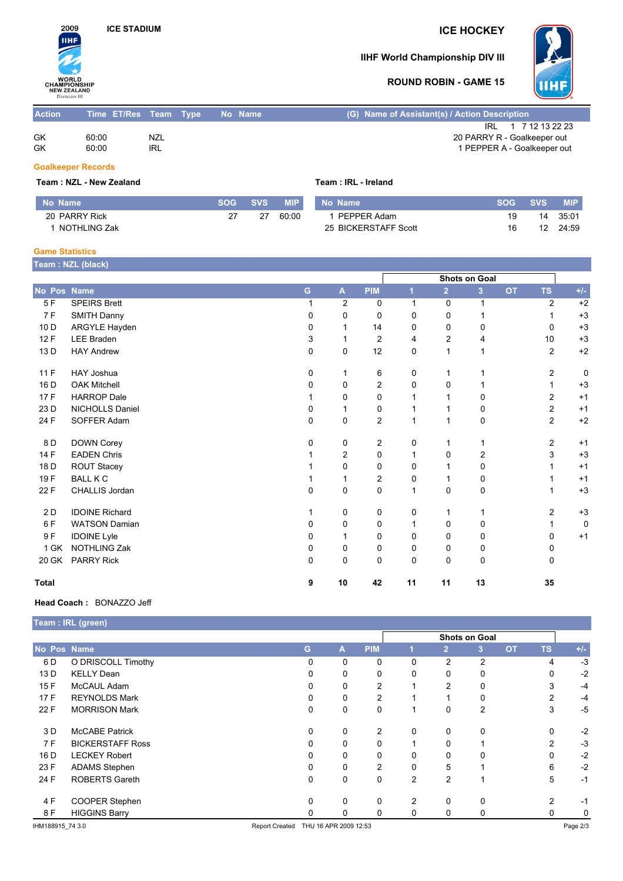## **ICE STADIUM ICE HOCKEY**



## **IIHF World Championship DIV III**



### **ROUND ROBIN - GAME 15**

| <b>Action</b> | Time ET/Res Team Type |                   | No Name | (G) Name of Assistant(s) / Action Description                                     |
|---------------|-----------------------|-------------------|---------|-----------------------------------------------------------------------------------|
| GK<br>GK      | 60:00<br>60:00        | <b>NZL</b><br>IRL |         | IRL 1 7 12 13 22 23<br>20 PARRY R - Goalkeeper out<br>1 PEPPER A - Goalkeeper out |

#### **Goalkeeper Records**

**Team : NZL - New Zealand Team : IRL - Ireland**

|  |  | Team: IRL - Ireland |
|--|--|---------------------|
|--|--|---------------------|

| No Name       | SOG | <b>SVS</b> | <b>MIP</b> | No Name              | SOG. | <b>SVS</b> | <b>MIP</b> |
|---------------|-----|------------|------------|----------------------|------|------------|------------|
| 20 PARRY Rick | 27  | 27         | 60:00      | PEPPER Adam          | 19   | 14         | 35:0'      |
| NOTHLING Zak  |     |            |            | 25 BICKERSTAFF Scott | 16   |            | 24:59      |

#### **Game Statistics**

| Team: NZL (black) |  |
|-------------------|--|
|                   |  |

|              |                       |          |                           |                |    |                | <b>Shots on Goal</b> |           |                |       |
|--------------|-----------------------|----------|---------------------------|----------------|----|----------------|----------------------|-----------|----------------|-------|
| No Pos Name  |                       | G        | $\boldsymbol{\mathsf{A}}$ | <b>PIM</b>     |    | $\overline{2}$ | 3                    | <b>OT</b> | <b>TS</b>      | $+/-$ |
| 5F           | <b>SPEIRS Brett</b>   |          | $\overline{2}$            | 0              | 1  | $\mathbf 0$    | $\mathbf{1}$         |           | $\overline{2}$ | $+2$  |
| 7F           | SMITH Danny           | 0        | 0                         | $\mathbf 0$    | 0  | 0              |                      |           |                | $+3$  |
| 10 D         | ARGYLE Hayden         | 0        |                           | 14             | 0  | 0              | 0                    |           | 0              | $+3$  |
| 12F          | <b>LEE Braden</b>     | 3        |                           | 2              | 4  | 2              | 4                    |           | 10             | $+3$  |
| 13 D         | <b>HAY Andrew</b>     | $\Omega$ | 0                         | 12             | 0  | 1              |                      |           | $\overline{2}$ | $+2$  |
| 11 F         | <b>HAY Joshua</b>     | 0        |                           | 6              | 0  | 1              |                      |           | $\overline{2}$ | 0     |
| 16 D         | <b>OAK Mitchell</b>   | 0        | 0                         | $\overline{c}$ | 0  | 0              |                      |           | 1              | $+3$  |
| 17F          | <b>HARROP</b> Dale    |          | 0                         | $\Omega$       |    |                | 0                    |           | $\overline{2}$ | $+1$  |
| 23 D         | NICHOLLS Daniel       | 0        |                           | 0              |    |                | 0                    |           | $\overline{c}$ | $+1$  |
| 24 F         | SOFFER Adam           | 0        | 0                         | 2              |    | 1              | 0                    |           | $\overline{2}$ | $+2$  |
| 8 D          | DOWN Corey            | 0        | 0                         | 2              | 0  | 1              | 1                    |           | $\overline{2}$ | $+1$  |
| 14 F         | <b>EADEN Chris</b>    |          | $\overline{c}$            | 0              |    | 0              | $\overline{c}$       |           | 3              | $+3$  |
| 18 D         | ROUT Stacey           |          | 0                         | 0              | 0  |                | 0                    |           |                | $+1$  |
| 19 F         | <b>BALL K C</b>       |          |                           | 2              | 0  |                | 0                    |           |                | $+1$  |
| 22 F         | CHALLIS Jordan        | $\Omega$ | 0                         | 0              |    | $\Omega$       | $\mathbf 0$          |           |                | $+3$  |
| 2 D          | <b>IDOINE Richard</b> |          | 0                         | 0              | 0  | 1              | 1                    |           | $\overline{2}$ | $+3$  |
| 6 F          | <b>WATSON Damian</b>  | 0        | 0                         | 0              | 1  | $\Omega$       | 0                    |           |                | 0     |
| 9F           | <b>IDOINE Lyle</b>    | 0        |                           | 0              | 0  | 0              | 0                    |           | 0              | $+1$  |
| 1 GK         | <b>NOTHLING Zak</b>   | 0        | 0                         | 0              | 0  | 0              | 0                    |           | 0              |       |
| 20 GK        | PARRY Rick            | 0        | 0                         | 0              | 0  | 0              | $\mathbf 0$          |           | 0              |       |
| <b>Total</b> |                       | 9        | 10                        | 42             | 11 | 11             | 13                   |           | 35             |       |

#### **Head Coach :** BONAZZO Jeff

|                  | Team : IRL (green)      |                       |                       |            |                |                |                         |           |           |       |
|------------------|-------------------------|-----------------------|-----------------------|------------|----------------|----------------|-------------------------|-----------|-----------|-------|
|                  |                         | Shots on Goal         |                       |            |                |                |                         |           |           |       |
| No Pos Name      |                         | G.                    | A                     | <b>PIM</b> |                | $\overline{2}$ | $\overline{\mathbf{3}}$ | <b>OT</b> | <b>TS</b> | $+/-$ |
| 6 D              | O DRISCOLL Timothy      | 0                     | 0                     | 0          | 0              | $\overline{c}$ | 2                       |           | 4         | $-3$  |
| 13 D             | <b>KELLY Dean</b>       |                       | 0                     | 0          | 0              | 0              | 0                       |           | 0         | $-2$  |
| 15F              | McCAUL Adam             | 0                     | 0                     | 2          |                | 2              | 0                       |           | 3         | $-4$  |
| 17F              | <b>REYNOLDS Mark</b>    |                       | 0                     | 2          |                |                | 0                       |           | 2         | $-4$  |
| 22 F             | <b>MORRISON Mark</b>    | 0                     | 0                     | 0          |                | 0              | $\overline{2}$          |           | 3         | $-5$  |
| 3 D              | <b>McCABE Patrick</b>   | 0                     | 0                     | 2          | 0              | 0              | 0                       |           | 0         | $-2$  |
| 7 F              | <b>BICKERSTAFF Ross</b> |                       | 0                     | 0          |                | 0              |                         |           | 2         | $-3$  |
| 16 D             | <b>LECKEY Robert</b>    |                       | 0                     | 0          | 0              | 0              |                         |           | 0         | $-2$  |
| 23 F             | <b>ADAMS Stephen</b>    |                       | 0                     | 2          | 0              | 5              |                         |           | 6         | $-2$  |
| 24 F             | <b>ROBERTS Gareth</b>   | 0                     | 0                     | 0          | $\overline{2}$ | 2              |                         |           | 5         | $-1$  |
| 4 F              | COOPER Stephen          | 0                     | 0                     | 0          | 2              | $\mathbf{0}$   | 0                       |           | 2         | -1    |
| 8 F              | <b>HIGGINS Barry</b>    |                       | 0                     | 0          | 0              | 0              | 0                       |           | 0         | 0     |
| IHM188915 74 3.0 |                         | <b>Report Created</b> | THU 16 APR 2009 12:53 |            |                |                |                         | Page 2/3  |           |       |